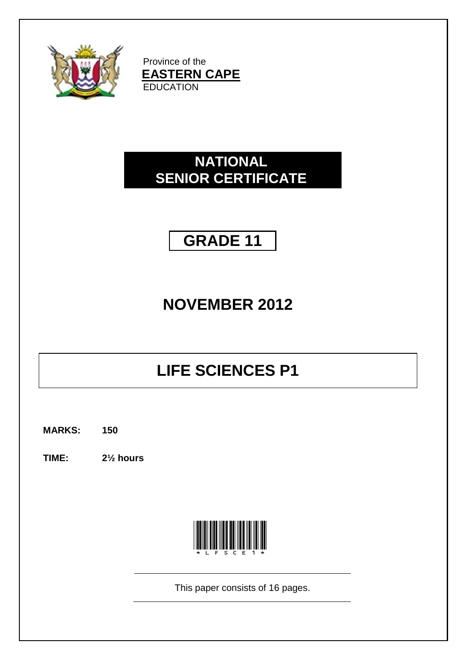

Province of the **EASTERN CAPE EDUCATION** 

### **NATIONAL SENIOR CERTIFICATE**

## **GRADE 11**

## **NOVEMBER 2012**

# **LIFE SCIENCES P1**

**MARKS: 150**

**TIME: 2½ hours**



This paper consists of 16 pages.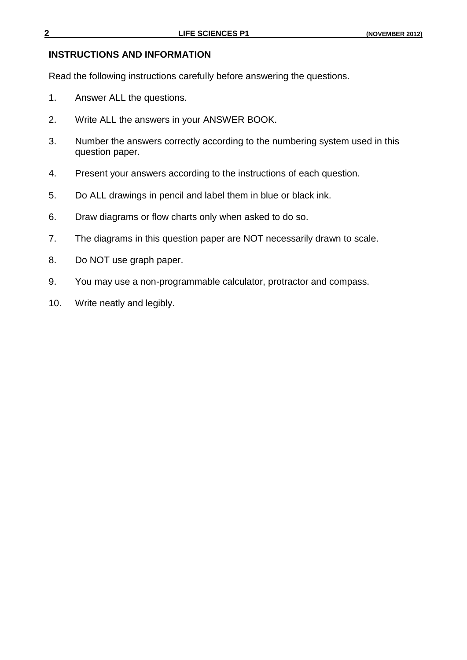#### **INSTRUCTIONS AND INFORMATION**

Read the following instructions carefully before answering the questions.

- 1. Answer ALL the questions.
- 2. Write ALL the answers in your ANSWER BOOK.
- 3. Number the answers correctly according to the numbering system used in this question paper.
- 4. Present your answers according to the instructions of each question.
- 5. Do ALL drawings in pencil and label them in blue or black ink.
- 6. Draw diagrams or flow charts only when asked to do so.
- 7. The diagrams in this question paper are NOT necessarily drawn to scale.
- 8. Do NOT use graph paper.
- 9. You may use a non-programmable calculator, protractor and compass.
- 10. Write neatly and legibly.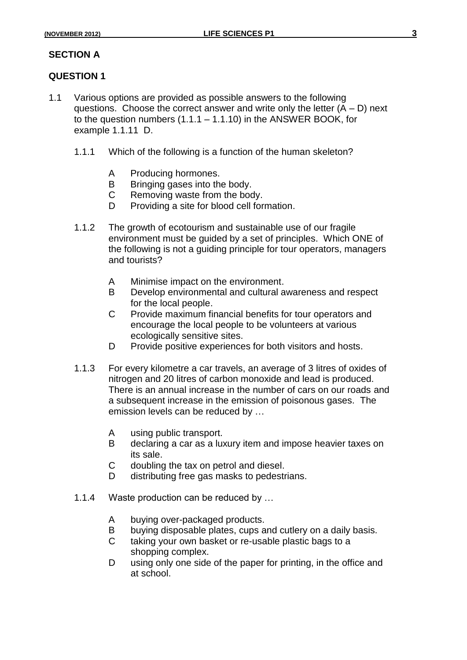#### **SECTION A**

#### **QUESTION 1**

- 1.1 Various options are provided as possible answers to the following questions. Choose the correct answer and write only the letter  $(A - D)$  next to the question numbers  $(1.1.1 - 1.1.10)$  in the ANSWER BOOK, for example 1.1.11 D.
	- 1.1.1 Which of the following is a function of the human skeleton?
		- A Producing hormones.
		- B Bringing gases into the body.
		- C Removing waste from the body.
		- D Providing a site for blood cell formation.
	- 1.1.2 The growth of ecotourism and sustainable use of our fragile environment must be guided by a set of principles. Which ONE of the following is not a guiding principle for tour operators, managers and tourists?
		- A Minimise impact on the environment.
		- B Develop environmental and cultural awareness and respect for the local people.
		- C Provide maximum financial benefits for tour operators and encourage the local people to be volunteers at various ecologically sensitive sites.
		- D Provide positive experiences for both visitors and hosts.
	- 1.1.3 For every kilometre a car travels, an average of 3 litres of oxides of nitrogen and 20 litres of carbon monoxide and lead is produced. There is an annual increase in the number of cars on our roads and a subsequent increase in the emission of poisonous gases. The emission levels can be reduced by …
		- A using public transport.
		- B declaring a car as a luxury item and impose heavier taxes on its sale.
		- C doubling the tax on petrol and diesel.
		- D distributing free gas masks to pedestrians.
	- 1.1.4 Waste production can be reduced by …
		- A buying over-packaged products.
		- B buying disposable plates, cups and cutlery on a daily basis.
		- C taking your own basket or re-usable plastic bags to a shopping complex.
		- D using only one side of the paper for printing, in the office and at school.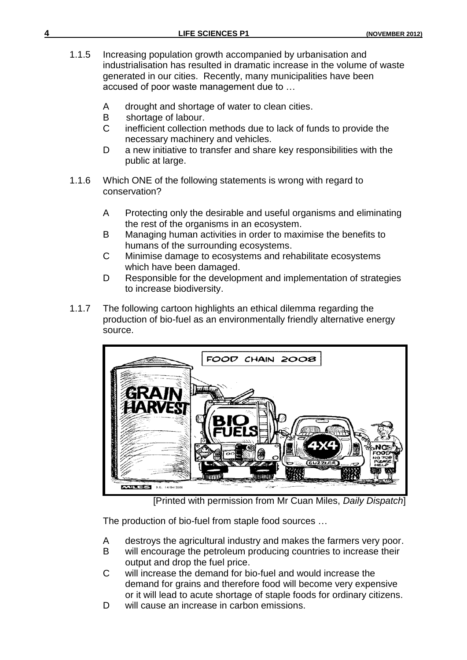|  |  | (NOVEMBER 2012) |  |
|--|--|-----------------|--|

- 1.1.5 Increasing population growth accompanied by urbanisation and industrialisation has resulted in dramatic increase in the volume of waste generated in our cities. Recently, many municipalities have been accused of poor waste management due to …
	- A drought and shortage of water to clean cities.
	- B shortage of labour.
	- C inefficient collection methods due to lack of funds to provide the necessary machinery and vehicles.
	- D a new initiative to transfer and share key responsibilities with the public at large.
- 1.1.6 Which ONE of the following statements is wrong with regard to conservation?
	- A Protecting only the desirable and useful organisms and eliminating the rest of the organisms in an ecosystem.
	- B Managing human activities in order to maximise the benefits to humans of the surrounding ecosystems.
	- C Minimise damage to ecosystems and rehabilitate ecosystems which have been damaged.
	- D Responsible for the development and implementation of strategies to increase biodiversity.
- 1.1.7 The following cartoon highlights an ethical dilemma regarding the production of bio-fuel as an environmentally friendly alternative energy source.



[Printed with permission from Mr Cuan Miles, *Daily Dispatch*]

The production of bio-fuel from staple food sources …

- A destroys the agricultural industry and makes the farmers very poor.
- B will encourage the petroleum producing countries to increase their output and drop the fuel price.
- C will increase the demand for bio-fuel and would increase the demand for grains and therefore food will become very expensive or it will lead to acute shortage of staple foods for ordinary citizens.
- D will cause an increase in carbon emissions.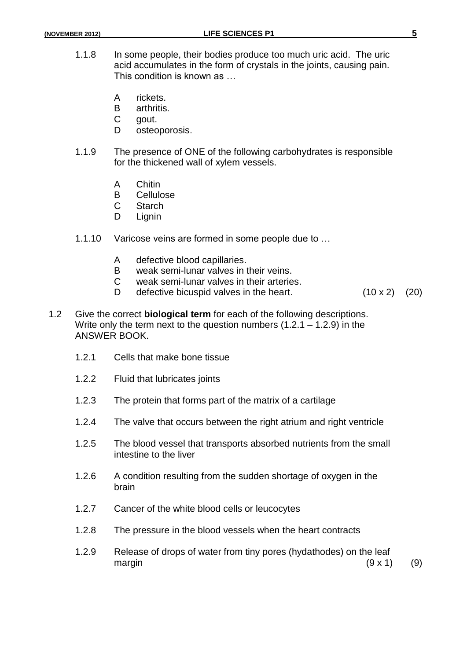- 1.1.8 In some people, their bodies produce too much uric acid. The uric acid accumulates in the form of crystals in the joints, causing pain. This condition is known as …
	- A rickets.
	- B arthritis.
	- C gout.
	- D osteoporosis.
- 1.1.9 The presence of ONE of the following carbohydrates is responsible for the thickened wall of xylem vessels.
	- A Chitin
	- B Cellulose
	- C Starch
	- D Lignin
- 1.1.10 Varicose veins are formed in some people due to …
	- A defective blood capillaries.
	- B weak semi-lunar valves in their veins.<br>C weak semi-lunar valves in their arterie
	- weak semi-lunar valves in their arteries.
	- D defective bicuspid valves in the heart.  $(10 \times 2)$   $(20)$
- 1.2 Give the correct **biological term** for each of the following descriptions. Write only the term next to the question numbers (1.2.1 – 1.2.9) in the ANSWER BOOK.
	- 1.2.1 Cells that make bone tissue
	- 1.2.2 Fluid that lubricates joints
	- 1.2.3 The protein that forms part of the matrix of a cartilage
	- 1.2.4 The valve that occurs between the right atrium and right ventricle
	- 1.2.5 The blood vessel that transports absorbed nutrients from the small intestine to the liver
	- 1.2.6 A condition resulting from the sudden shortage of oxygen in the brain
	- 1.2.7 Cancer of the white blood cells or leucocytes
	- 1.2.8 The pressure in the blood vessels when the heart contracts
	- 1.2.9 Release of drops of water from tiny pores (hydathodes) on the leaf margin  $(9 \times 1)$  (9)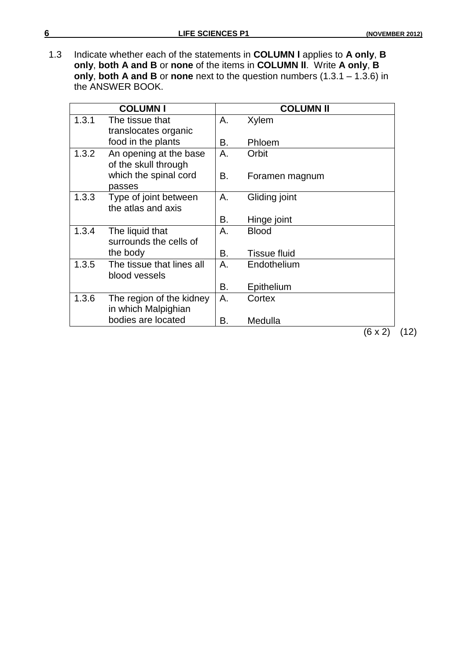1.3 Indicate whether each of the statements in **COLUMN Ι** applies to **A only**, **B only**, **both A and B** or **none** of the items in **COLUMN ΙΙ**. Write **A only**, **B only**, **both A and B** or **none** next to the question numbers (1.3.1 – 1.3.6) in the ANSWER BOOK.

| <b>COLUMN I</b> |                                                 |    | <b>COLUMN II</b>    |      |
|-----------------|-------------------------------------------------|----|---------------------|------|
| 1.3.1           | The tissue that<br>translocates organic         | Α. | Xylem               |      |
|                 | food in the plants                              | В. | Phloem              |      |
| 1.3.2           | An opening at the base<br>of the skull through  | Α. | Orbit               |      |
|                 | which the spinal cord<br>passes                 | В. | Foramen magnum      |      |
| 1.3.3           | Type of joint between<br>the atlas and axis     | Α. | Gliding joint       |      |
|                 |                                                 | В. | Hinge joint         |      |
| 1.3.4           | The liquid that<br>surrounds the cells of       | Α. | <b>Blood</b>        |      |
|                 | the body                                        | В. | <b>Tissue fluid</b> |      |
| 1.3.5           | The tissue that lines all<br>blood vessels      | Α. | Endothelium         |      |
|                 |                                                 | В. | Epithelium          |      |
| 1.3.6           | The region of the kidney<br>in which Malpighian | Α. | Cortex              |      |
|                 | bodies are located                              | В. | Medulla             |      |
|                 |                                                 |    | (6 x 2)             | (12) |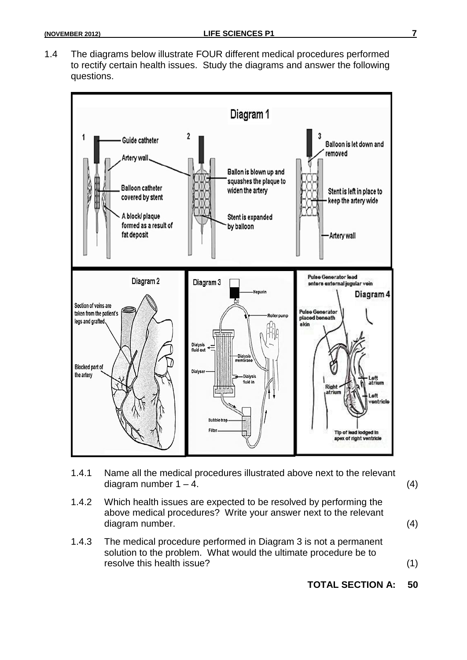1.4 The diagrams below illustrate FOUR different medical procedures performed to rectify certain health issues. Study the diagrams and answer the following questions.



- 1.4.1 Name all the medical procedures illustrated above next to the relevant diagram number  $1 - 4$ .  $(4)$
- 1.4.2 Which health issues are expected to be resolved by performing the above medical procedures? Write your answer next to the relevant diagram number. (4)
- 1.4.3 The medical procedure performed in Diagram 3 is not a permanent solution to the problem. What would the ultimate procedure be to resolve this health issue? (1)

#### **TOTAL SECTION A: 50**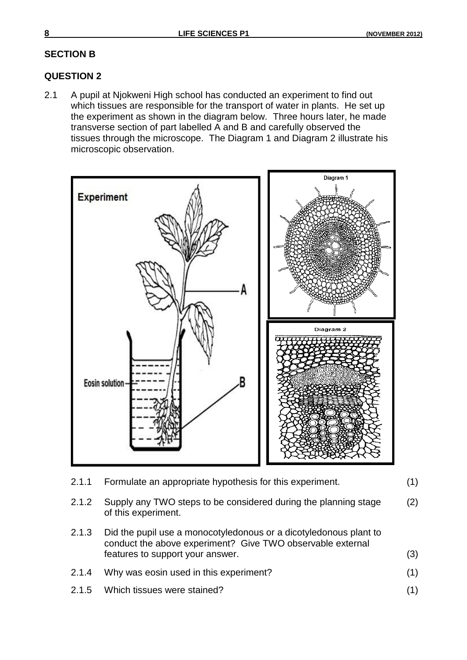#### **SECTION B**

#### **QUESTION 2**

2.1 A pupil at Njokweni High school has conducted an experiment to find out which tissues are responsible for the transport of water in plants. He set up the experiment as shown in the diagram below. Three hours later, he made transverse section of part labelled A and B and carefully observed the tissues through the microscope. The Diagram 1 and Diagram 2 illustrate his microscopic observation.



| 2.1.1 Formulate an appropriate hypothesis for this experiment. | (1) |
|----------------------------------------------------------------|-----|
|----------------------------------------------------------------|-----|

- 2.1.2 Supply any TWO steps to be considered during the planning stage of this experiment. (2)
- 2.1.3 Did the pupil use a monocotyledonous or a dicotyledonous plant to conduct the above experiment? Give TWO observable external features to support your answer. (3)
- 2.1.4 Why was eosin used in this experiment? (1)
- 2.1.5 Which tissues were stained? (1)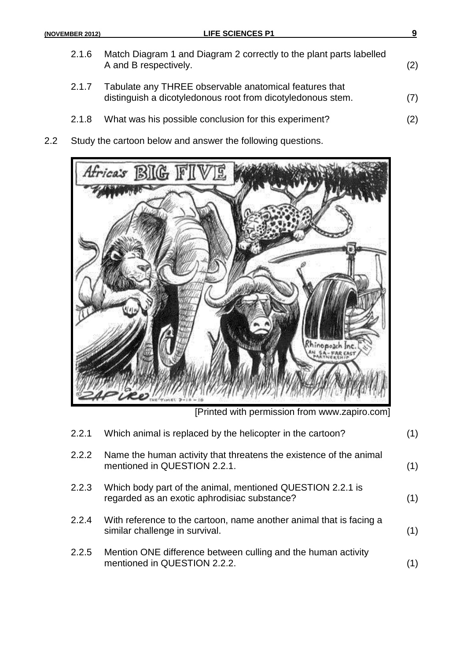- 2.1.6 Match Diagram 1 and Diagram 2 correctly to the plant parts labelled A and B respectively. (2) 2.1.7 Tabulate any THREE observable anatomical features that distinguish a dicotyledonous root from dicotyledonous stem. (7)
- 2.1.8 What was his possible conclusion for this experiment? (2)
- 2.2 Study the cartoon below and answer the following questions.



[Printed with permission from www.zapiro.com]

| 2.2.1 | Which animal is replaced by the helicopter in the cartoon?                                                 | (1) |
|-------|------------------------------------------------------------------------------------------------------------|-----|
| 2.2.2 | Name the human activity that threatens the existence of the animal<br>mentioned in QUESTION 2.2.1.         | (1) |
| 2.2.3 | Which body part of the animal, mentioned QUESTION 2.2.1 is<br>regarded as an exotic aphrodisiac substance? | (1) |
| 2.2.4 | With reference to the cartoon, name another animal that is facing a<br>similar challenge in survival.      | (1) |
| 2.2.5 | Mention ONE difference between culling and the human activity<br>mentioned in QUESTION 2.2.2.              | (1) |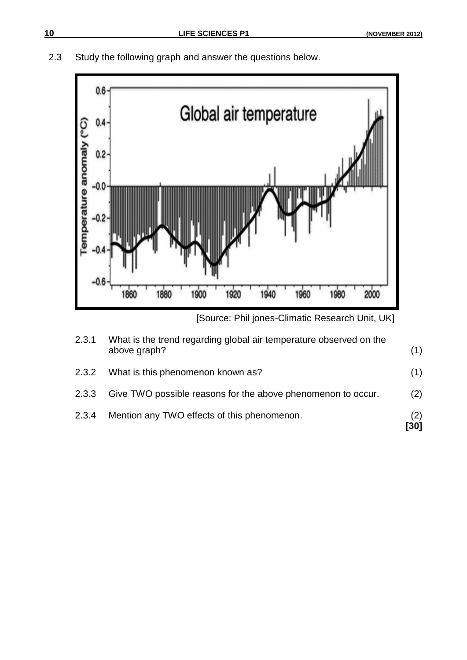



<sup>[</sup>Source: Phil jones-Climatic Research Unit, UK]

|       |                                                                                    | [30] |
|-------|------------------------------------------------------------------------------------|------|
| 2.3.4 | Mention any TWO effects of this phenomenon.                                        | (2)  |
| 2.3.3 | Give TWO possible reasons for the above phenomenon to occur.                       | (2)  |
| 2.3.2 | What is this phenomenon known as?                                                  | (1)  |
| 2.3.1 | What is the trend regarding global air temperature observed on the<br>above graph? | (1)  |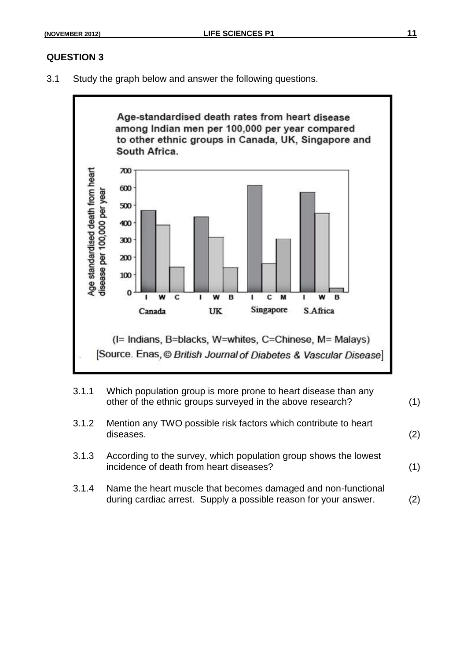#### **QUESTION 3**

3.1 Study the graph below and answer the following questions.



- 3.1.1 Which population group is more prone to heart disease than any other of the ethnic groups surveyed in the above research? (1)
- 3.1.2 Mention any TWO possible risk factors which contribute to heart diseases. (2)
- 3.1.3 According to the survey, which population group shows the lowest incidence of death from heart diseases? (1)
- 3.1.4 Name the heart muscle that becomes damaged and non-functional during cardiac arrest. Supply a possible reason for your answer. (2)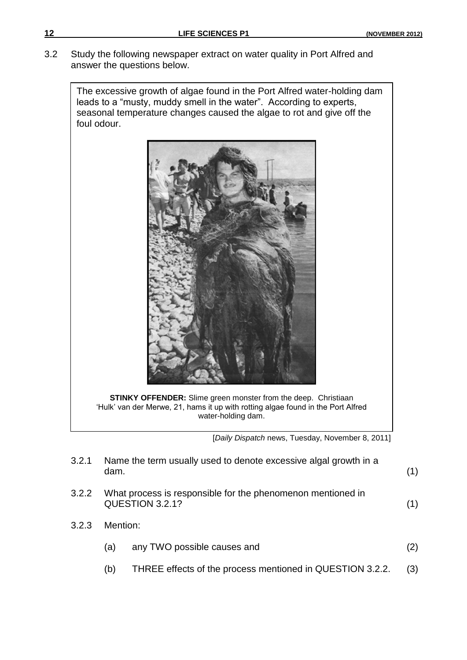3.2 Study the following newspaper extract on water quality in Port Alfred and answer the questions below.

The excessive growth of algae found in the Port Alfred water-holding dam leads to a "musty, muddy smell in the water". According to experts, seasonal temperature changes caused the algae to rot and give off the foul odour.



**STINKY OFFENDER:** Slime green monster from the deep. Christiaan "Hulk" van der Merwe, 21, hams it up with rotting algae found in the Port Alfred water-holding dam.

[*Daily Dispatch* news, Tuesday, November 8, 2011]

| 3.2.1 | dam.     | Name the term usually used to denote excessive algal growth in a               | (1) |
|-------|----------|--------------------------------------------------------------------------------|-----|
| 3.2.2 |          | What process is responsible for the phenomenon mentioned in<br>QUESTION 3.2.1? | (1) |
| 3.2.3 | Mention: |                                                                                |     |
|       | (a)      | any TWO possible causes and                                                    | (2) |
|       | (b)      | THREE effects of the process mentioned in QUESTION 3.2.2.                      | (3) |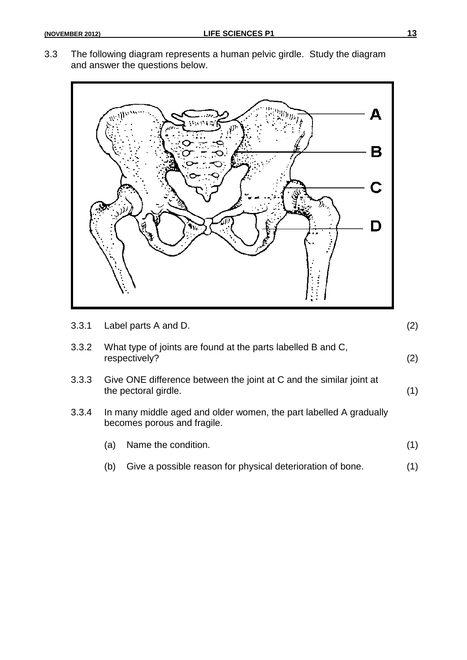3.3 The following diagram represents a human pelvic girdle. Study the diagram and answer the questions below.



| 3.3.1 |     | Label parts A and D.                                                                              | (2) |
|-------|-----|---------------------------------------------------------------------------------------------------|-----|
| 3.3.2 |     | What type of joints are found at the parts labelled B and C,<br>respectively?                     | (2) |
| 3.3.3 |     | Give ONE difference between the joint at C and the similar joint at<br>the pectoral girdle.       | (1) |
| 3.3.4 |     | In many middle aged and older women, the part labelled A gradually<br>becomes porous and fragile. |     |
|       | (a) | Name the condition.                                                                               | (1) |
|       | (b) | Give a possible reason for physical deterioration of bone.                                        | (1) |
|       |     |                                                                                                   |     |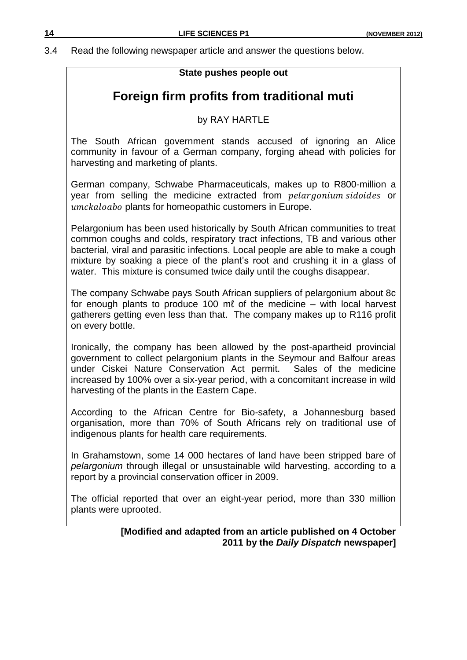3.4 Read the following newspaper article and answer the questions below.

#### **State pushes people out**

### **Foreign firm profits from traditional muti**

#### by RAY HARTLE

The South African government stands accused of ignoring an Alice community in favour of a German company, forging ahead with policies for harvesting and marketing of plants.

German company, Schwabe Pharmaceuticals, makes up to R800-million a year from selling the medicine extracted from *pelar gonium sidoides* or umckaloabo plants for homeopathic customers in Europe.

Pelargonium has been used historically by South African communities to treat common coughs and colds, respiratory tract infections, TB and various other bacterial, viral and parasitic infections. Local people are able to make a cough mixture by soaking a piece of the plant"s root and crushing it in a glass of water. This mixture is consumed twice daily until the coughs disappear.

The company Schwabe pays South African suppliers of pelargonium about 8c for enough plants to produce 100 mℓ of the medicine – with local harvest gatherers getting even less than that. The company makes up to R116 profit on every bottle.

Ironically, the company has been allowed by the post-apartheid provincial government to collect pelargonium plants in the Seymour and Balfour areas under Ciskei Nature Conservation Act permit. Sales of the medicine increased by 100% over a six-year period, with a concomitant increase in wild harvesting of the plants in the Eastern Cape.

According to the African Centre for Bio-safety, a Johannesburg based organisation, more than 70% of South Africans rely on traditional use of indigenous plants for health care requirements.

In Grahamstown, some 14 000 hectares of land have been stripped bare of *pelargonium* through illegal or unsustainable wild harvesting, according to a report by a provincial conservation officer in 2009.

The official reported that over an eight-year period, more than 330 million plants were uprooted.

#### **[Modified and adapted from an article published on 4 October 2011 by the** *Daily Dispatch* **newspaper]**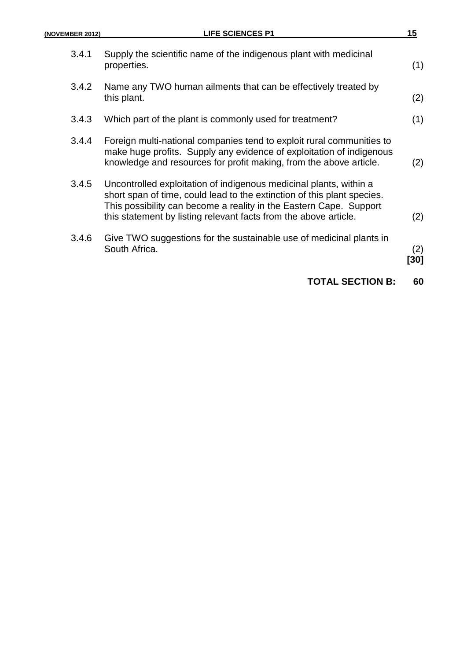| (NOVEMBER 2012) | <b>LIFE SCIENCES P1</b>                                                                                                                                                                                                                                                                 | 15         |
|-----------------|-----------------------------------------------------------------------------------------------------------------------------------------------------------------------------------------------------------------------------------------------------------------------------------------|------------|
| 3.4.1           | Supply the scientific name of the indigenous plant with medicinal<br>properties.                                                                                                                                                                                                        | (1)        |
| 3.4.2           | Name any TWO human ailments that can be effectively treated by<br>this plant.                                                                                                                                                                                                           | (2)        |
| 3.4.3           | Which part of the plant is commonly used for treatment?                                                                                                                                                                                                                                 | (1)        |
| 3.4.4           | Foreign multi-national companies tend to exploit rural communities to<br>make huge profits. Supply any evidence of exploitation of indigenous<br>knowledge and resources for profit making, from the above article.                                                                     | (2)        |
| 3.4.5           | Uncontrolled exploitation of indigenous medicinal plants, within a<br>short span of time, could lead to the extinction of this plant species.<br>This possibility can become a reality in the Eastern Cape. Support<br>this statement by listing relevant facts from the above article. | (2)        |
| 3.4.6           | Give TWO suggestions for the sustainable use of medicinal plants in<br>South Africa.                                                                                                                                                                                                    | (2)<br>30] |
|                 | <b>TOTAL SECTION B:</b>                                                                                                                                                                                                                                                                 | 60         |